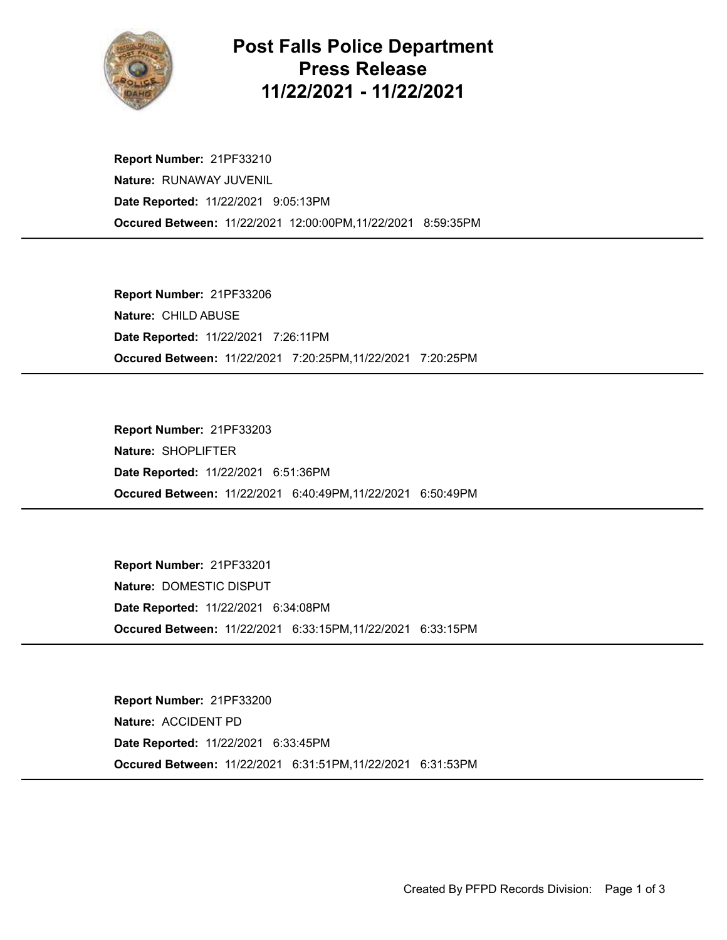

## Post Falls Police Department Press Release 11/22/2021 - 11/22/2021

Occured Between: 11/22/2021 12:00:00PM,11/22/2021 8:59:35PM Report Number: 21PF33210 Nature: RUNAWAY JUVENIL Date Reported: 11/22/2021 9:05:13PM

Occured Between: 11/22/2021 7:20:25PM,11/22/2021 7:20:25PM Report Number: 21PF33206 Nature: CHILD ABUSE Date Reported: 11/22/2021 7:26:11PM

Occured Between: 11/22/2021 6:40:49PM,11/22/2021 6:50:49PM Report Number: 21PF33203 Nature: SHOPLIFTER Date Reported: 11/22/2021 6:51:36PM

Occured Between: 11/22/2021 6:33:15PM,11/22/2021 6:33:15PM Report Number: 21PF33201 Nature: DOMESTIC DISPUT Date Reported: 11/22/2021 6:34:08PM

Occured Between: 11/22/2021 6:31:51PM,11/22/2021 6:31:53PM Report Number: 21PF33200 Nature: ACCIDENT PD Date Reported: 11/22/2021 6:33:45PM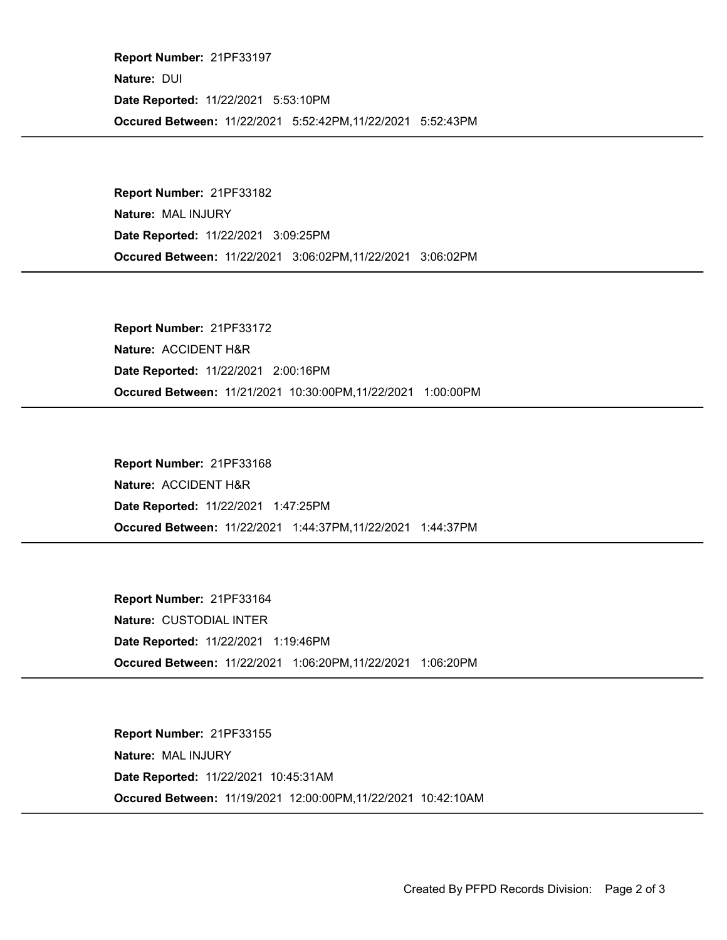Occured Between: 11/22/2021 5:52:42PM,11/22/2021 5:52:43PM Report Number: 21PF33197 Nature: DUI Date Reported: 11/22/2021 5:53:10PM

Occured Between: 11/22/2021 3:06:02PM,11/22/2021 3:06:02PM Report Number: 21PF33182 Nature: MAL INJURY Date Reported: 11/22/2021 3:09:25PM

Occured Between: 11/21/2021 10:30:00PM,11/22/2021 1:00:00PM Report Number: 21PF33172 Nature: ACCIDENT H&R Date Reported: 11/22/2021 2:00:16PM

Occured Between: 11/22/2021 1:44:37PM,11/22/2021 1:44:37PM Report Number: 21PF33168 Nature: ACCIDENT H&R Date Reported: 11/22/2021 1:47:25PM

Occured Between: 11/22/2021 1:06:20PM,11/22/2021 1:06:20PM Report Number: 21PF33164 Nature: CUSTODIAL INTER Date Reported: 11/22/2021 1:19:46PM

Occured Between: 11/19/2021 12:00:00PM,11/22/2021 10:42:10AM Report Number: 21PF33155 Nature: MAL INJURY Date Reported: 11/22/2021 10:45:31AM